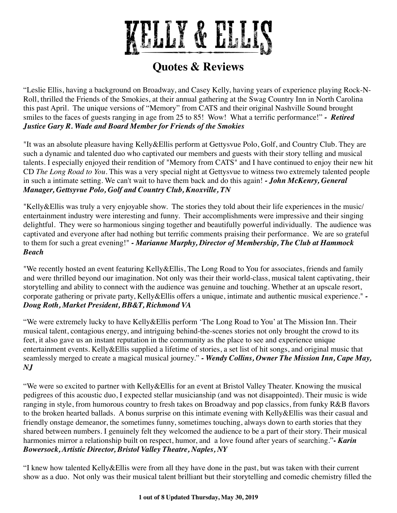

"Leslie Ellis, having a background on Broadway, and Casey Kelly, having years of experience playing Rock-N-Roll, thrilled the Friends of the Smokies, at their annual gathering at the Swag Country Inn in North Carolina this past April. The unique versions of "Memory" from CATS and their original Nashville Sound brought smiles to the faces of guests ranging in age from 25 to 85! Wow! What a terrific performance!" *- Retired Justice Gary R. Wade and Board Member for Friends of the Smokies*

"It was an absolute pleasure having Kelly&Ellis perform at Gettysvue Polo, Golf, and Country Club. They are such a dynamic and talented duo who captivated our members and guests with their story telling and musical talents. I especially enjoyed their rendition of "Memory from CATS" and I have continued to enjoy their new hit CD *The Long Road to You*. This was a very special night at Gettysvue to witness two extremely talented people in such a intimate setting. We can't wait to have them back and do this again! *- John McKenry, General Manager, Gettsyvue Polo, Golf and Country Club, Knoxville, TN*

"Kelly&Ellis was truly a very enjoyable show. The stories they told about their life experiences in the music/ entertainment industry were interesting and funny. Their accomplishments were impressive and their singing delightful. They were so harmonious singing together and beautifully powerful individually. The audience was captivated and everyone after had nothing but terrific comments praising their performance. We are so grateful to them for such a great evening!" *- Marianne Murphy, Director of Membership, The Club at Hammock Beach*

"We recently hosted an event featuring Kelly&Ellis, The Long Road to You for associates, friends and family and were thrilled beyond our imagination. Not only was their their world-class, musical talent captivating, their storytelling and ability to connect with the audience was genuine and touching. Whether at an upscale resort, corporate gathering or private party, Kelly&Ellis offers a unique, intimate and authentic musical experience." *- Doug Roth, Market President, BB&T, Richmond VA*

"We were extremely lucky to have Kelly&Ellis perform 'The Long Road to You' at The Mission Inn. Their musical talent, contagious energy, and intriguing behind-the-scenes stories not only brought the crowd to its feet, it also gave us an instant reputation in the community as the place to see and experience unique entertainment events. Kelly&Ellis supplied a lifetime of stories, a set list of hit songs, and original music that seamlessly merged to create a magical musical journey." *- Wendy Collins, Owner The Mission Inn, Cape May, NJ*

"We were so excited to partner with Kelly&Ellis for an event at Bristol Valley Theater. Knowing the musical pedigrees of this acoustic duo, I expected stellar musicianship (and was not disappointed). Their music is wide ranging in style, from humorous country to fresh takes on Broadway and pop classics, from funky R&B flavors to the broken hearted ballads. A bonus surprise on this intimate evening with Kelly&Ellis was their casual and friendly onstage demeanor, the sometimes funny, sometimes touching, always down to earth stories that they shared between numbers. I genuinely felt they welcomed the audience to be a part of their story. Their musical harmonies mirror a relationship built on respect, humor, and a love found after years of searching."**-** *Karin Bowersock, Artistic Director, Bristol Valley Theatre, Naples, NY*

"I knew how talented Kelly&Ellis were from all they have done in the past, but was taken with their current show as a duo. Not only was their musical talent brilliant but their storytelling and comedic chemistry filled the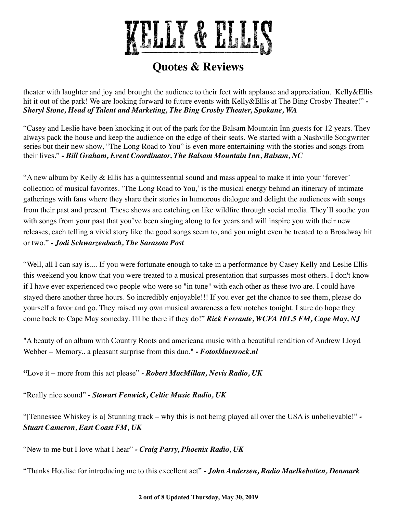

theater with laughter and joy and brought the audience to their feet with applause and appreciation. Kelly&Ellis hit it out of the park! We are looking forward to future events with Kelly&Ellis at The Bing Crosby Theater!" *- Sheryl Stone, Head of Talent and Marketing, The Bing Crosby Theater, Spokane, WA*

"Casey and Leslie have been knocking it out of the park for the Balsam Mountain Inn guests for 12 years. They always pack the house and keep the audience on the edge of their seats. We started with a Nashville Songwriter series but their new show, "The Long Road to You" is even more entertaining with the stories and songs from their lives." *- Bill Graham, Event Coordinator, The Balsam Mountain Inn, Balsam, NC*

"A new album by Kelly & Ellis has a quintessential sound and mass appeal to make it into your 'forever' collection of musical favorites. 'The Long Road to You,' is the musical energy behind an itinerary of intimate gatherings with fans where they share their stories in humorous dialogue and delight the audiences with songs from their past and present. These shows are catching on like wildfire through social media. They'll soothe you with songs from your past that you've been singing along to for years and will inspire you with their new releases, each telling a vivid story like the good songs seem to, and you might even be treated to a Broadway hit or two." *- Jodi Schwarzenbach, The Sarasota Post*

"Well, all I can say is.... If you were fortunate enough to take in a performance by Casey Kelly and Leslie Ellis this weekend you know that you were treated to a musical presentation that surpasses most others. I don't know if I have ever experienced two people who were so "in tune" with each other as these two are. I could have stayed there another three hours. So incredibly enjoyable!!! If you ever get the chance to see them, please do yourself a favor and go. They raised my own musical awareness a few notches tonight. I sure do hope they come back to Cape May someday. I'll be there if they do!" *Rick Ferrante, WCFA 101.5 FM, Cape May, NJ*

"A beauty of an album with Country Roots and americana music with a beautiful rendition of Andrew Lloyd Webber – Memory.. a pleasant surprise from this duo." *- Fotosbluesrock.nl*

**"**Love it – more from this act please" *- Robert MacMillan, Nevis Radio, UK*

"Really nice sound" *- Stewart Fenwick, Celtic Music Radio, UK*

"[Tennessee Whiskey is a] Stunning track – why this is not being played all over the USA is unbelievable!" *- Stuart Cameron, East Coast FM, UK*

"New to me but I love what I hear" *- Craig Parry, Phoenix Radio, UK*

"Thanks Hotdisc for introducing me to this excellent act" *- John Andersen, Radio Maelkebotten, Denmark*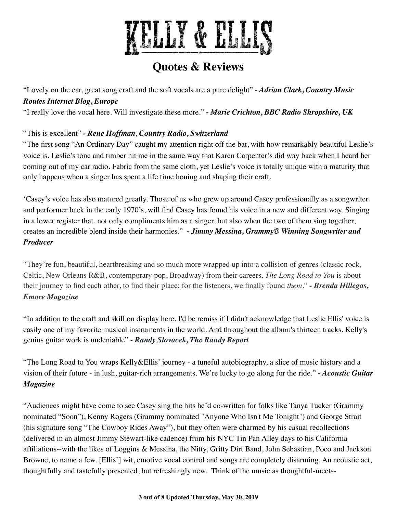

"Lovely on the ear, great song craft and the soft vocals are a pure delight" *- Adrian Clark, Country Music Routes Internet Blog, Europe*

"I really love the vocal here. Will investigate these more." *- Marie Crichton, BBC Radio Shropshire, UK*

#### "This is excellent" *- Rene Hoffman, Country Radio, Switzerland*

"The first song "An Ordinary Day" caught my attention right off the bat, with how remarkably beautiful Leslie's voice is. Leslie's tone and timber hit me in the same way that Karen Carpenter's did way back when I heard her coming out of my car radio. Fabric from the same cloth, yet Leslie's voice is totally unique with a maturity that only happens when a singer has spent a life time honing and shaping their craft.

'Casey's voice has also matured greatly. Those of us who grew up around Casey professionally as a songwriter and performer back in the early 1970's, will find Casey has found his voice in a new and different way. Singing in a lower register that, not only compliments him as a singer, but also when the two of them sing together, creates an incredible blend inside their harmonies." *- Jimmy Messina, Grammy® Winning Songwriter and Producer*

"They're fun, beautiful, heartbreaking and so much more wrapped up into a collision of genres (classic rock, Celtic, New Orleans R&B, contemporary pop, Broadway) from their careers. *The Long Road to You* is about their journey to find each other, to find their place; for the listeners, we finally found *them*." *- Brenda Hillegas, Emore Magazine*

"In addition to the craft and skill on display here, I'd be remiss if I didn't acknowledge that Leslie Ellis' voice is easily one of my favorite musical instruments in the world. And throughout the album's thirteen tracks, Kelly's genius guitar work is undeniable" *- Randy Slovacek, The Randy Report*

"The Long Road to You wraps Kelly&Ellis' journey - a tuneful autobiography, a slice of music history and a vision of their future - in lush, guitar-rich arrangements. We're lucky to go along for the ride." *- Acoustic Guitar Magazine*

"Audiences might have come to see Casey sing the hits he'd co-written for folks like Tanya Tucker (Grammy nominated "Soon"), Kenny Rogers (Grammy nominated "Anyone Who Isn't Me Tonight") and George Strait (his signature song "The Cowboy Rides Away"), but they often were charmed by his casual recollections (delivered in an almost Jimmy Stewart-like cadence) from his NYC Tin Pan Alley days to his California affiliations--with the likes of Loggins & Messina, the Nitty, Gritty Dirt Band, John Sebastian, Poco and Jackson Browne, to name a few. [Ellis'] wit, emotive vocal control and songs are completely disarming. An acoustic act, thoughtfully and tastefully presented, but refreshingly new. Think of the music as thoughtful-meets-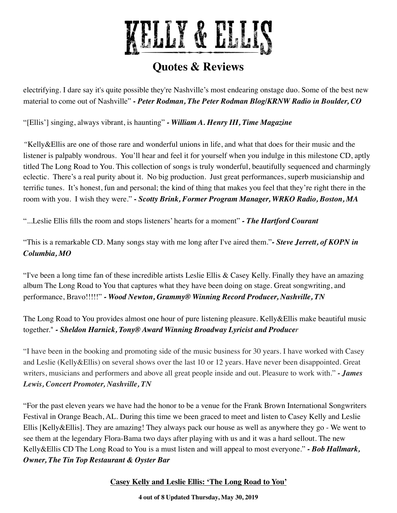

electrifying. I dare say it's quite possible they're Nashville's most endearing onstage duo. Some of the best new material to come out of Nashville" **-** *Peter Rodman, The Peter Rodman Blog/KRNW Radio in Boulder, CO*

"[Ellis'] singing, always vibrant, is haunting" *- William A. Henry III, Time Magazine*

*"*Kelly&Ellis are one of those rare and wonderful unions in life, and what that does for their music and the listener is palpably wondrous. You'll hear and feel it for yourself when you indulge in this milestone CD, aptly titled The Long Road to You. This collection of songs is truly wonderful, beautifully sequenced and charmingly eclectic. There's a real purity about it. No big production. Just great performances, superb musicianship and terrific tunes. It's honest, fun and personal; the kind of thing that makes you feel that they're right there in the room with you. I wish they were." **-** *Scotty Brink, Former Program Manager, WRKO Radio, Boston, MA*

"...Leslie Ellis fills the room and stops listeners' hearts for a moment" *- The Hartford Courant*

"This is a remarkable CD. Many songs stay with me long after I've aired them."*- Steve Jerrett, of KOPN in Columbia, MO*

"I've been a long time fan of these incredible artists Leslie Ellis & Casey Kelly. Finally they have an amazing album The Long Road to You that captures what they have been doing on stage. Great songwriting, and performance, Bravo!!!!!" *- Wood Newton, Grammy® Winning Record Producer, Nashville, TN*

The Long Road to You provides almost one hour of pure listening pleasure. Kelly&Ellis make beautiful music together." *- Sheldon Harnick, Tony® Award Winning Broadway Lyricist and Producer*

"I have been in the booking and promoting side of the music business for 30 years. I have worked with Casey and Leslie (Kelly&Ellis) on several shows over the last 10 or 12 years. Have never been disappointed. Great writers, musicians and performers and above all great people inside and out. Pleasure to work with." *- James Lewis, Concert Promoter, Nashville, TN*

"For the past eleven years we have had the honor to be a venue for the Frank Brown International Songwriters Festival in Orange Beach, AL. During this time we been graced to meet and listen to Casey Kelly and Leslie Ellis [Kelly&Ellis]. They are amazing! They always pack our house as well as anywhere they go - We went to see them at the legendary Flora-Bama two days after playing with us and it was a hard sellout. The new Kelly&Ellis CD The Long Road to You is a must listen and will appeal to most everyone." *- Bob Hallmark, Owner, The Tin Top Restaurant & Oyster Bar*

#### **Casey Kelly and Leslie Ellis: 'The Long Road to You'**

**4 out of 8 Updated Thursday, May 30, 2019**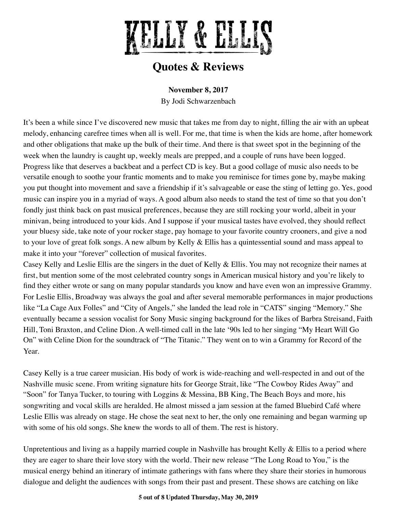

**November 8, 2017**

By Jodi Schwarzenbach

It's been a while since I've discovered new music that takes me from day to night, filling the air with an upbeat melody, enhancing carefree times when all is well. For me, that time is when the kids are home, after homework and other obligations that make up the bulk of their time. And there is that sweet spot in the beginning of the week when the laundry is caught up, weekly meals are prepped, and a couple of runs have been logged. Progress like that deserves a backbeat and a perfect CD is key. But a good collage of music also needs to be versatile enough to soothe your frantic moments and to make you reminisce for times gone by, maybe making you put thought into movement and save a friendship if it's salvageable or ease the sting of letting go. Yes, good music can inspire you in a myriad of ways. A good album also needs to stand the test of time so that you don't fondly just think back on past musical preferences, because they are still rocking your world, albeit in your minivan, being introduced to your kids. And I suppose if your musical tastes have evolved, they should reflect your bluesy side, take note of your rocker stage, pay homage to your favorite country crooners, and give a nod to your love of great folk songs. A new album by Kelly & Ellis has a quintessential sound and mass appeal to make it into your "forever" collection of musical favorites.

Casey Kelly and Leslie Ellis are the singers in the duet of Kelly & Ellis. You may not recognize their names at first, but mention some of the most celebrated country songs in American musical history and you're likely to find they either wrote or sang on many popular standards you know and have even won an impressive Grammy. For Leslie Ellis, Broadway was always the goal and after several memorable performances in major productions like "La Cage Aux Folles" and "City of Angels," she landed the lead role in "CATS" singing "Memory." She eventually became a session vocalist for Sony Music singing background for the likes of Barbra Streisand, Faith Hill, Toni Braxton, and Celine Dion. A well-timed call in the late '90s led to her singing "My Heart Will Go On" with Celine Dion for the soundtrack of "The Titanic." They went on to win a Grammy for Record of the Year.

Casey Kelly is a true career musician. His body of work is wide-reaching and well-respected in and out of the Nashville music scene. From writing signature hits for George Strait, like "The Cowboy Rides Away" and "Soon" for Tanya Tucker, to touring with Loggins & Messina, BB King, The Beach Boys and more, his songwriting and vocal skills are heralded. He almost missed a jam session at the famed Bluebird Café where Leslie Ellis was already on stage. He chose the seat next to her, the only one remaining and began warming up with some of his old songs. She knew the words to all of them. The rest is history.

Unpretentious and living as a happily married couple in Nashville has brought Kelly & Ellis to a period where they are eager to share their love story with the world. Their new release "The Long Road to You," is the musical energy behind an itinerary of intimate gatherings with fans where they share their stories in humorous dialogue and delight the audiences with songs from their past and present. These shows are catching on like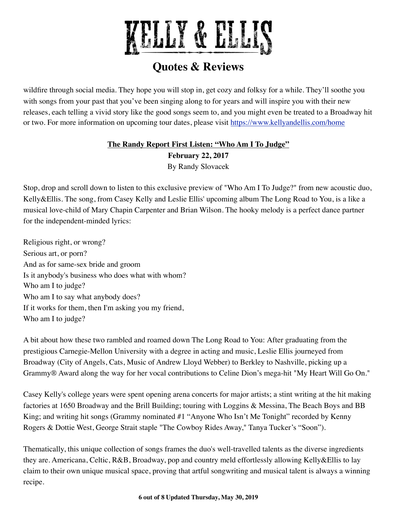

wildfire through social media. They hope you will stop in, get cozy and folksy for a while. They'll soothe you with songs from your past that you've been singing along to for years and will inspire you with their new releases, each telling a vivid story like the good songs seem to, and you might even be treated to a Broadway hit or two. For more information on upcoming tour dates, please visit <https://www.kellyandellis.com/home>

### **The Randy Report First Listen: "Who Am I To Judge" February 22, 2017** By Randy Slovacek

Stop, drop and scroll down to listen to this exclusive preview of "Who Am I To Judge?" from new acoustic duo, Kelly&Ellis. The song, from Casey Kelly and Leslie Ellis' upcoming album The Long Road to You, is a like a musical love-child of Mary Chapin Carpenter and Brian Wilson. The hooky melody is a perfect dance partner for the independent-minded lyrics:

Religious right, or wrong? Serious art, or porn? And as for same-sex bride and groom Is it anybody's business who does what with whom? Who am I to judge? Who am I to say what anybody does? If it works for them, then I'm asking you my friend, Who am I to judge?

A bit about how these two rambled and roamed down The Long Road to You: After graduating from the prestigious Carnegie-Mellon University with a degree in acting and music, Leslie Ellis journeyed from Broadway (City of Angels, Cats, Music of Andrew Lloyd Webber) to Berkley to Nashville, picking up a Grammy® Award along the way for her vocal contributions to Celine Dion's mega-hit "My Heart Will Go On."

Casey Kelly's college years were spent opening arena concerts for major artists; a stint writing at the hit making factories at 1650 Broadway and the Brill Building; touring with Loggins & Messina, The Beach Boys and BB King; and writing hit songs (Grammy nominated #1 "Anyone Who Isn't Me Tonight" recorded by Kenny Rogers & Dottie West, George Strait staple "The Cowboy Rides Away," Tanya Tucker's "Soon").

Thematically, this unique collection of songs frames the duo's well-travelled talents as the diverse ingredients they are. Americana, Celtic, R&B, Broadway, pop and country meld effortlessly allowing Kelly&Ellis to lay claim to their own unique musical space, proving that artful songwriting and musical talent is always a winning recipe.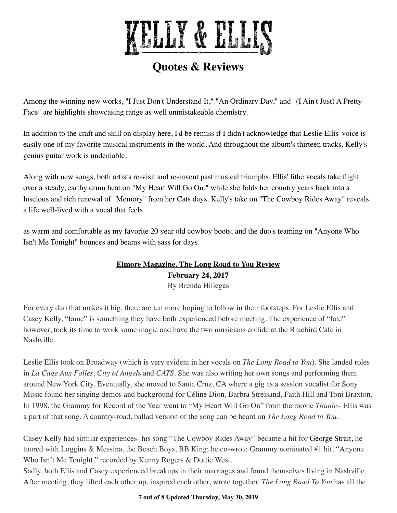

Among the winning new works, "I Just Don't Understand It," "An Ordinary Day," and "(I Ain't Just) A Pretty Face" are highlights showcasing range as well unmistakeable chemistry.

In addition to the craft and skill on display here, I'd be remiss if I didn't acknowledge that Leslie Ellis' voice is easily one of my favorite musical instruments in the world. And throughout the album's thirteen tracks, Kelly's genius guitar work is undeniable.

Along with new songs, both artists re-visit and re-invent past musical triumphs. Ellis' lithe vocals take flight over a steady, earthy drum beat on "My Heart Will Go On," while she folds her country years back into a luscious and rich renewal of "Memory" from her Cats days. Kelly's take on "The Cowboy Rides Away" reveals a life well-lived with a vocal that feels

as warm and comfortable as my favorite 20 year old cowboy boots; and the duo's teaming on "Anyone Who Isn't Me Tonight" bounces and beams with sass for days.

#### **Elmore Magazine, The Long Road to You Review February 24, 2017** By Brenda Hillegas

For every duo that makes it big, there are ten more hoping to follow in their footsteps. For Leslie Ellis and Casey Kelly, "fame" is something they have both experienced before meeting. The experience of "fate" however, took its time to work some magic and have the two musicians collide at the Bluebird Cafe in Nashville.

Leslie Ellis took on Broadway (which is very evident in her vocals on *The Long Road to You*). She landed roles in *La Cage Aux Folles*, *City of Angel*s and *CATS*. She was also writing her own songs and performing them around New York City. Eventually, she moved to Santa Cruz, CA where a gig as a session vocalist for Sony Music found her singing demos and background for Céline Dion, Barbra Streisand, Faith Hill and Toni Braxton. In 1998, the Grammy for Record of the Year went to "My Heart Will Go On" from the movie *Titanic*– Ellis was a part of that song. A country-road, ballad version of the song can be heard on *The Long Road to You*.

Casey Kelly had similar experiences- his song "The Cowboy Rides Away" became a hit for [George Strait,](http://www.elmoremagazine.com/2015/10/reviews/albums/george-strait) he toured with Loggins & Messina, the Beach Boys, BB King; he co-wrote Grammy nominated #1 hit, "Anyone Who Isn't Me Tonight," recorded by Kenny Rogers & Dottie West.

Sadly, both Ellis and Casey experienced breakups in their marriages and found themselves living in Nashville. After meeting, they lifted each other up, inspired each other, wrote together. *The Long Road To You* has all the